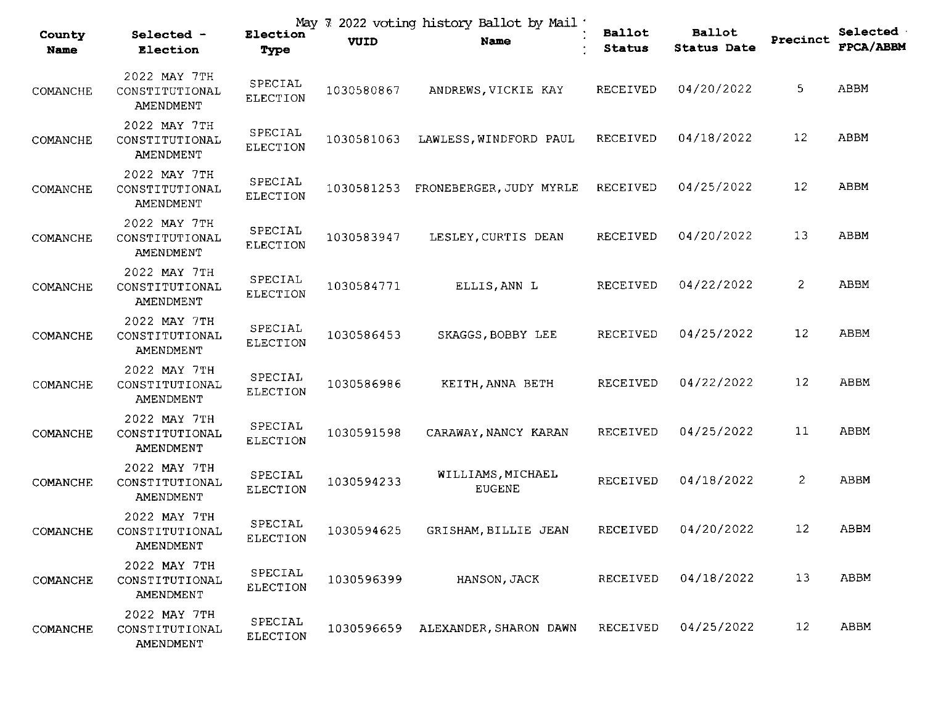| County<br><b>Name</b> | Selected -<br>Election                      | May 7<br>Election<br>Type  | VUID       | 2022 voting history Ballot by Mail<br>Name | <b>Ballot</b><br><b>Status</b> | <b>Ballot</b><br><b>Status Date</b> | Precinct          | <b>Selected</b><br><b>FPCA/ABBM</b> |
|-----------------------|---------------------------------------------|----------------------------|------------|--------------------------------------------|--------------------------------|-------------------------------------|-------------------|-------------------------------------|
| COMANCHE              | 2022 MAY 7TH<br>CONSTITUTIONAL<br>AMENDMENT | SPECIAL<br><b>ELECTION</b> | 1030580867 | ANDREWS, VICKIE KAY                        | <b>RECEIVED</b>                | 04/20/2022                          | 5                 | ABBM                                |
| COMANCHE              | 2022 MAY 7TH<br>CONSTITUTIONAL<br>AMENDMENT | SPECIAL<br><b>ELECTION</b> | 1030581063 | LAWLESS, WINDFORD PAUL                     | RECEIVED                       | 04/18/2022                          | 12                | ABBM                                |
| COMANCHE              | 2022 MAY 7TH<br>CONSTITUTIONAL<br>AMENDMENT | SPECIAL<br>ELECTION        | 1030581253 | FRONEBERGER, JUDY MYRLE                    | RECEIVED                       | 04/25/2022                          | 12                | ABBM                                |
| COMANCHE              | 2022 MAY 7TH<br>CONSTITUTIONAL<br>AMENDMENT | SPECIAL<br><b>ELECTION</b> | 1030583947 | LESLEY, CURTIS DEAN                        | RECEIVED                       | 04/20/2022                          | 13                | ABBM                                |
| COMANCHE              | 2022 MAY 7TH<br>CONSTITUTIONAL<br>AMENDMENT | SPECIAL<br><b>ELECTION</b> | 1030584771 | ELLIS, ANN L                               | RECEIVED                       | 04/22/2022                          | 2                 | ABBM                                |
| COMANCHE              | 2022 MAY 7TH<br>CONSTITUTIONAL<br>AMENDMENT | SPECIAL<br><b>ELECTION</b> | 1030586453 | SKAGGS, BOBBY LEE                          | RECEIVED                       | 04/25/2022                          | 12                | ABBM                                |
| COMANCHE              | 2022 MAY 7TH<br>CONSTITUTIONAL<br>AMENDMENT | SPECIAL<br><b>ELECTION</b> | 1030586986 | KEITH, ANNA BETH                           | RECEIVED                       | 04/22/2022                          | 12                | ABBM                                |
| COMANCHE              | 2022 MAY 7TH<br>CONSTITUTIONAL<br>AMENDMENT | SPECIAL<br><b>ELECTION</b> | 1030591598 | CARAWAY, NANCY KARAN                       | RECEIVED                       | 04/25/2022                          | 11                | ABBM                                |
| COMANCHE              | 2022 MAY 7TH<br>CONSTITUTIONAL<br>AMENDMENT | SPECIAL<br>ELECTION        | 1030594233 | WILLIAMS, MICHAEL<br><b>EUGENE</b>         | RECEIVED                       | 04/18/2022                          | 2                 | ABBM                                |
| COMANCHE              | 2022 MAY 7TH<br>CONSTITUTIONAL<br>AMENDMENT | SPECIAL<br><b>ELECTION</b> | 1030594625 | GRISHAM, BILLIE JEAN                       | RECEIVED                       | 04/20/2022                          | $12 \overline{ }$ | ABBM                                |
| COMANCHE              | 2022 MAY 7TH<br>CONSTITUTIONAL<br>AMENDMENT | SPECIAL<br>ELECTION        | 1030596399 | HANSON, JACK                               | RECEIVED                       | 04/18/2022                          | 13                | ABBM                                |
| COMANCHE              | 2022 MAY 7TH<br>CONSTITUTIONAL<br>AMENDMENT | SPECIAL<br>ELECTION        | 1030596659 | ALEXANDER, SHARON DAWN                     | RECEIVED                       | 04/25/2022                          | 12                | ABBM                                |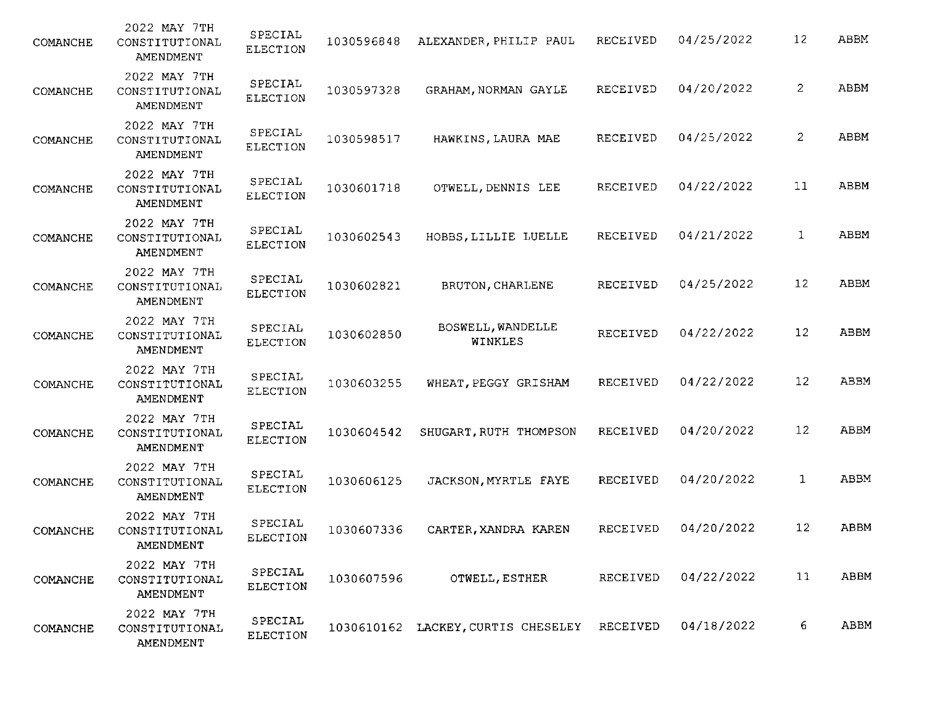| COMANCHE | 2022 MAY 7TH<br>CONSTITUTIONAL<br>AMENDMENT | SPECIAL<br><b>ELECTION</b> | 1030596848 | ALEXANDER, PHILIP PAUL                      | RECEIVED | 04/25/2022 | 12 | ABBM |
|----------|---------------------------------------------|----------------------------|------------|---------------------------------------------|----------|------------|----|------|
| COMANCHE | 2022 MAY 7TH<br>CONSTITUTIONAL<br>AMENDMENT | SPECIAL<br><b>ELECTION</b> | 1030597328 | GRAHAM, NORMAN GAYLE                        | RECEIVED | 04/20/2022 | 2  | ABBM |
| COMANCHE | 2022 MAY 7TH<br>CONSTITUTIONAL<br>AMENDMENT | SPECIAL<br><b>ELECTION</b> | 1030598517 | HAWKINS, LAURA MAE                          | RECEIVED | 04/25/2022 | 2  | ABBM |
| COMANCHE | 2022 MAY 7TH<br>CONSTITUTIONAL<br>AMENDMENT | SPECIAL<br>ELECTION        | 1030601718 | OTWELL, DENNIS LEE                          | RECEIVED | 04/22/2022 | 11 | ABBM |
| COMANCHE | 2022 MAY 7TH<br>CONSTITUTIONAL<br>AMENDMENT | SPECIAL<br><b>ELECTION</b> | 1030602543 | HOBBS, LILLIE LUELLE                        | RECEIVED | 04/21/2022 | 1  | ABBM |
| COMANCHE | 2022 MAY 7TH<br>CONSTITUTIONAL<br>AMENDMENT | SPECIAL<br>ELECTION        | 1030602821 | BRUTON, CHARLENE                            | RECEIVED | 04/25/2022 | 12 | ABBM |
| COMANCHE | 2022 MAY 7TH<br>CONSTITUTIONAL<br>AMENDMENT | SPECIAL<br><b>ELECTION</b> | 1030602850 | BOSWELL, WANDELLE<br>WINKLES                | RECEIVED | 04/22/2022 | 12 | ABBM |
| COMANCHE | 2022 MAY 7TH<br>CONSTITUTIONAL<br>AMENDMENT | SPECIAL<br><b>ELECTION</b> | 1030603255 | WHEAT, PEGGY GRISHAM                        | RECEIVED | 04/22/2022 | 12 | ABBM |
| COMANCHE | 2022 MAY 7TH<br>CONSTITUTIONAL<br>AMENDMENT | SPECIAL<br><b>ELECTION</b> | 1030604542 | SHUGART, RUTH THOMPSON                      | RECEIVED | 04/20/2022 | 12 | ABBM |
| COMANCHE | 2022 MAY 7TH<br>CONSTITUTIONAL<br>AMENDMENT | SPECIAL<br><b>ELECTION</b> | 1030606125 | JACKSON, MYRTLE FAYE                        | RECEIVED | 04/20/2022 | 1  | ABBM |
| COMANCHE | 2022 MAY 7TH<br>CONSTITUTIONAL<br>AMENDMENT | SPECIAL<br>ELECTION        | 1030607336 | CARTER, XANDRA KAREN                        | RECEIVED | 04/20/2022 | 12 | ABBM |
| COMANCHE | 2022 MAY 7TH<br>CONSTITUTIONAL<br>AMENDMENT | SPECIAL<br>ELECTION        | 1030607596 | OTWELL, ESTHER                              | RECEIVED | 04/22/2022 | 11 | ABBM |
| COMANCHE | 2022 MAY 7TH<br>CONSTITUTIONAL<br>AMENDMENT | SPECIAL<br>ELECTION        |            | 1030610162 LACKEY, CURTIS CHESELEY RECEIVED |          | 04/18/2022 | 6  | ABBM |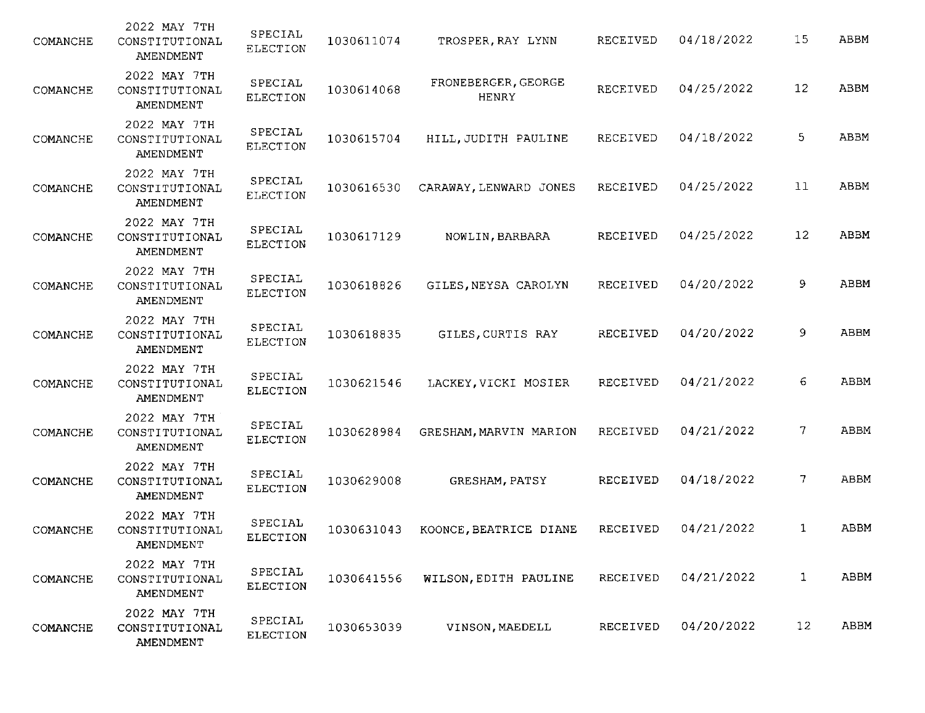| COMANCHE | 2022 MAY 7TH<br>CONSTITUTIONAL<br>AMENDMENT | SPECIAL<br><b>ELECTION</b> | 1030611074 | TROSPER, RAY LYNN                   | RECEIVED        | 04/18/2022 | 15           | ABBM        |
|----------|---------------------------------------------|----------------------------|------------|-------------------------------------|-----------------|------------|--------------|-------------|
| COMANCHE | 2022 MAY 7TH<br>CONSTITUTIONAL<br>AMENDMENT | SPECIAL<br><b>ELECTION</b> | 1030614068 | FRONEBERGER, GEORGE<br><b>HENRY</b> | RECEIVED        | 04/25/2022 | 12           | ABBM        |
| COMANCHE | 2022 MAY 7TH<br>CONSTITUTIONAL<br>AMENDMENT | SPECIAL<br><b>ELECTION</b> | 1030615704 | HILL, JUDITH PAULINE                | RECEIVED        | 04/18/2022 | 5            | ABBM        |
| COMANCHE | 2022 MAY 7TH<br>CONSTITUTIONAL<br>AMENDMENT | SPECIAL<br><b>ELECTION</b> | 1030616530 | CARAWAY, LENWARD JONES              | RECEIVED        | 04/25/2022 | 11           | ABBM        |
| COMANCHE | 2022 MAY 7TH<br>CONSTITUTIONAL<br>AMENDMENT | SPECIAL<br>ELECTION        | 1030617129 | NOWLIN, BARBARA                     | RECEIVED        | 04/25/2022 | 12           | ABBM        |
| COMANCHE | 2022 MAY 7TH<br>CONSTITUTIONAL<br>AMENDMENT | SPECIAL<br><b>ELECTION</b> | 1030618826 | GILES, NEYSA CAROLYN                | RECEIVED        | 04/20/2022 | 9            | ABBM        |
| COMANCHE | 2022 MAY 7TH<br>CONSTITUTIONAL<br>AMENDMENT | SPECIAL<br>ELECTION        | 1030618835 | GILES, CURTIS RAY                   | RECEIVED        | 04/20/2022 | 9            | <b>ABBM</b> |
| COMANCHE | 2022 MAY 7TH<br>CONSTITUTIONAL<br>AMENDMENT | SPECIAL<br><b>ELECTION</b> | 1030621546 | LACKEY, VICKI MOSIER                | RECEIVED        | 04/21/2022 | 6            | ABBM        |
| COMANCHE | 2022 MAY 7TH<br>CONSTITUTIONAL<br>AMENDMENT | SPECIAL<br>ELECTION        | 1030628984 | GRESHAM, MARVIN MARION              | RECEIVED        | 04/21/2022 | 7.           | ABBM        |
| COMANCHE | 2022 MAY 7TH<br>CONSTITUTIONAL<br>AMENDMENT | SPECIAL<br><b>ELECTION</b> | 1030629008 | GRESHAM, PATSY                      | RECEIVED        | 04/18/2022 | 7            | ABBM        |
| COMANCHE | 2022 MAY 7TH<br>CONSTITUTIONAL<br>AMENDMENT | SPECIAL<br>ELECTION        | 1030631043 | KOONCE, BEATRICE DIANE              | <b>RECEIVED</b> | 04/21/2022 | 1            | ABBM        |
| COMANCHE | 2022 MAY 7TH<br>CONSTITUTIONAL<br>AMENDMENT | SPECIAL<br>ELECTION        | 1030641556 | WILSON, EDITH PAULINE               | RECEIVED        | 04/21/2022 | $\mathbf{1}$ | ABBM        |
| COMANCHE | 2022 MAY 7TH<br>CONSTITUTIONAL<br>AMENDMENT | SPECIAL<br>ELECTION        | 1030653039 | VINSON, MAEDELL                     | RECEIVED        | 04/20/2022 | 12           | ABBM        |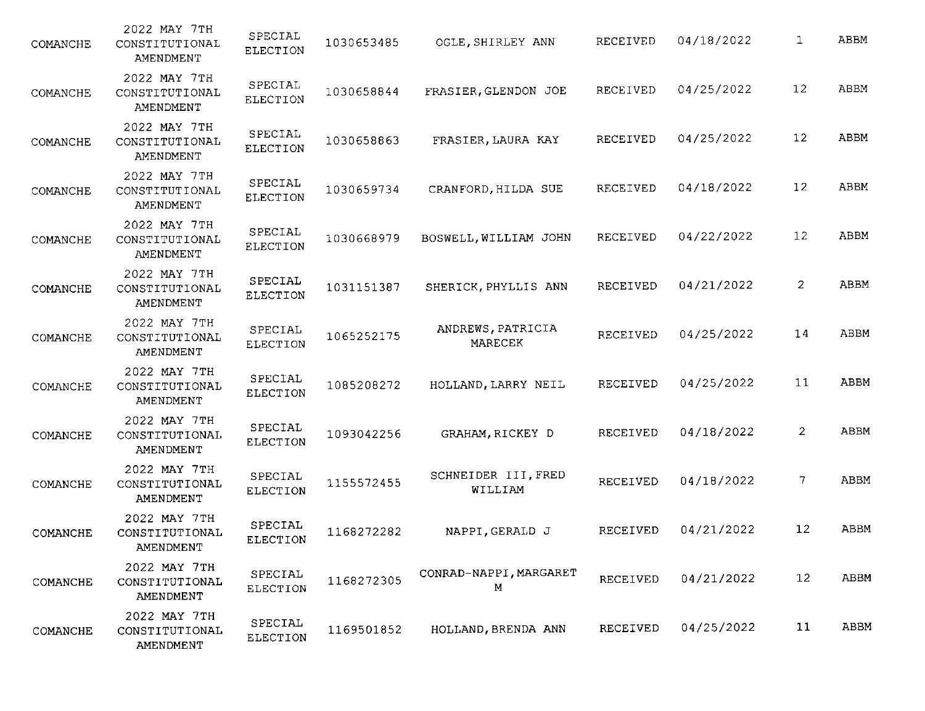| COMANCHE | 2022 MAY 7TH<br>CONSTITUTIONAL<br>AMENDMENT | SPECIAL<br><b>ELECTION</b> | 1030653485 | OGLE, SHIRLEY ANN              | RECEIVED | 04/18/2022 | 1                 | ABBM |
|----------|---------------------------------------------|----------------------------|------------|--------------------------------|----------|------------|-------------------|------|
| COMANCHE | 2022 MAY 7TH<br>CONSTITUTIONAL<br>AMENDMENT | SPECIAL<br>ELECTION        | 1030658844 | FRASIER, GLENDON JOE           | RECEIVED | 04/25/2022 | $12 \overline{ }$ | ABBM |
| COMANCHE | 2022 MAY 7TH<br>CONSTITUTIONAL<br>AMENDMENT | SPECIAL<br><b>ELECTION</b> | 1030658863 | FRASIER, LAURA KAY             | RECEIVED | 04/25/2022 | 12                | ABBM |
| COMANCHE | 2022 MAY 7TH<br>CONSTITUTIONAL<br>AMENDMENT | SPECIAL<br>ELECTION        | 1030659734 | CRANFORD, HILDA SUE            | RECEIVED | 04/18/2022 | 12                | ABBM |
| COMANCHE | 2022 MAY 7TH<br>CONSTITUTIONAL<br>AMENDMENT | SPECIAL<br><b>ELECTION</b> | 1030668979 | BOSWELL, WILLIAM JOHN          | RECEIVED | 04/22/2022 | 12                | ABBM |
| COMANCHE | 2022 MAY 7TH<br>CONSTITUTIONAL<br>AMENDMENT | SPECIAL<br><b>ELECTION</b> | 1031151387 | SHERICK, PHYLLIS ANN           | RECEIVED | 04/21/2022 | $\overline{a}$    | ABBM |
| COMANCHE | 2022 MAY 7TH<br>CONSTITUTIONAL<br>AMENDMENT | SPECIAL<br><b>ELECTION</b> | 1065252175 | ANDREWS, PATRICIA<br>MARECEK   | RECEIVED | 04/25/2022 | 14                | ABBM |
| COMANCHE | 2022 MAY 7TH<br>CONSTITUTIONAL<br>AMENDMENT | SPECIAL<br><b>ELECTION</b> | 1085208272 | HOLLAND, LARRY NEIL            | RECEIVED | 04/25/2022 | 11                | ABBM |
| COMANCHE | 2022 MAY 7TH<br>CONSTITUTIONAL<br>AMENDMENT | SPECIAL<br><b>ELECTION</b> | 1093042256 | GRAHAM, RICKEY D               | RECEIVED | 04/18/2022 | 2                 | ABBM |
| COMANCHE | 2022 MAY 7TH<br>CONSTITUTIONAL<br>AMENDMENT | SPECIAL<br><b>ELECTION</b> | 1155572455 | SCHNEIDER III, FRED<br>WILLIAM | RECEIVED | 04/18/2022 | 7.                | ABBM |
| COMANCHE | 2022 MAY 7TH<br>CONSTITUTIONAL<br>AMENDMENT | SPECIAL<br><b>ELECTION</b> | 1168272282 | NAPPI, GERALD J                | RECEIVED | 04/21/2022 | 12                | ABBM |
| COMANCHE | 2022 MAY 7TH<br>CONSTITUTIONAL<br>AMENDMENT | SPECIAL<br>ELECTION        | 1168272305 | CONRAD-NAPPI, MARGARET<br>М    | RECEIVED | 04/21/2022 | $12 \overline{ }$ | ABBM |
| COMANCHE | 2022 MAY 7TH<br>CONSTITUTIONAL<br>AMENDMENT | SPECIAL<br>ELECTION        | 1169501852 | HOLLAND, BRENDA ANN            | RECEIVED | 04/25/2022 | 11                | ABBM |